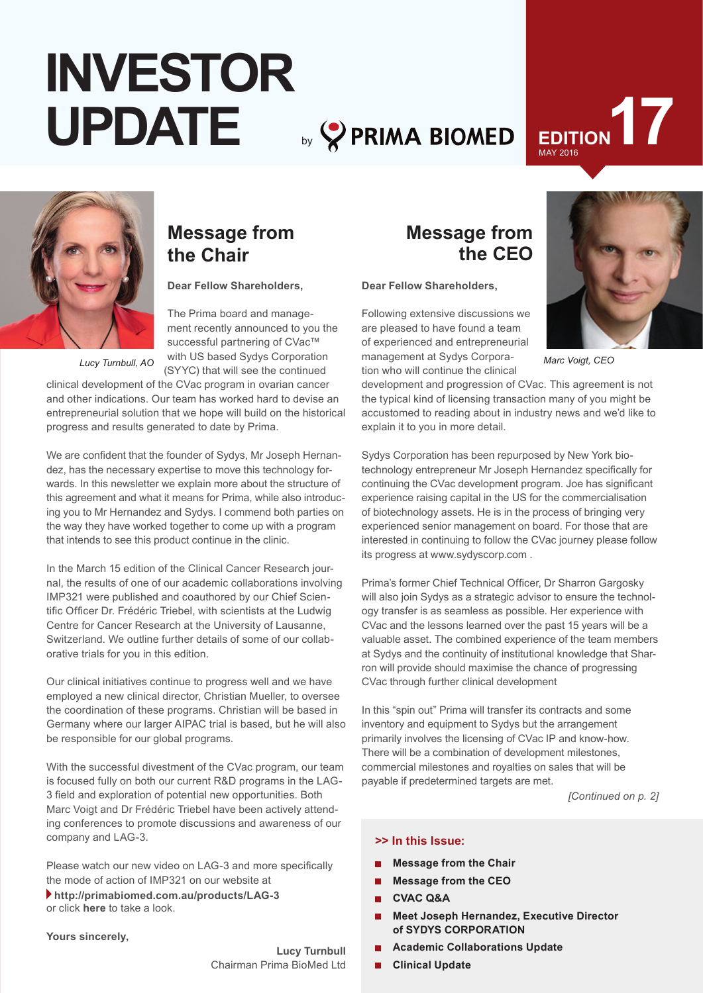## by **PRIMA BIOMED INVESTOR UPDATE**

# EDITION 17



## **Message from the Chair**

**Dear Fellow Shareholders,**

The Prima board and management recently announced to you the successful partnering of CVac™ with US based Sydys Corporation (SYYC) that will see the continued

*Lucy Turnbull, AO*

clinical development of the CVac program in ovarian cancer and other indications. Our team has worked hard to devise an entrepreneurial solution that we hope will build on the historical progress and results generated to date by Prima.

We are confident that the founder of Sydys, Mr Joseph Hernandez, has the necessary expertise to move this technology forwards. In this newsletter we explain more about the structure of this agreement and what it means for Prima, while also introducing you to Mr Hernandez and Sydys. I commend both parties on the way they have worked together to come up with a program that intends to see this product continue in the clinic.

In the March 15 edition of the Clinical Cancer Research journal, the results of one of our academic collaborations involving IMP321 were published and coauthored by our Chief Scientific Officer Dr. Frédéric Triebel, with scientists at the Ludwig Centre for Cancer Research at the University of Lausanne, Switzerland. We outline further details of some of our collaborative trials for you in this edition.

Our clinical initiatives continue to progress well and we have employed a new clinical director, Christian Mueller, to oversee the coordination of these programs. Christian will be based in Germany where our larger AIPAC trial is based, but he will also be responsible for our global programs.

With the successful divestment of the CVac program, our team is focused fully on both our current R&D programs in the LAG-3 field and exploration of potential new opportunities. Both Marc Voigt and Dr Frédéric Triebel have been actively attending conferences to promote discussions and awareness of our company and LAG-3.

Please watch our new video on LAG-3 and more specifically the mode of action of IMP321 on our website at

**http://primabiomed.com.au/products/LAG-3** or click **here** to take a look.

#### **Yours sincerely,**

**Lucy Turnbull**  Chairman Prima BioMed Ltd

## **Message from the CEO**

**Dear Fellow Shareholders,**

Following extensive discussions we are pleased to have found a team of experienced and entrepreneurial management at Sydys Corporation who will continue the clinical

*Marc Voigt, CEO*

development and progression of CVac. This agreement is not the typical kind of licensing transaction many of you might be accustomed to reading about in industry news and we'd like to explain it to you in more detail.

Sydys Corporation has been repurposed by New York biotechnology entrepreneur Mr Joseph Hernandez specifically for continuing the CVac development program. Joe has significant experience raising capital in the US for the commercialisation of biotechnology assets. He is in the process of bringing very experienced senior management on board. For those that are interested in continuing to follow the CVac journey please follow its progress at www.sydyscorp.com .

Prima's former Chief Technical Officer, Dr Sharron Gargosky will also join Sydys as a strategic advisor to ensure the technology transfer is as seamless as possible. Her experience with CVac and the lessons learned over the past 15 years will be a valuable asset. The combined experience of the team members at Sydys and the continuity of institutional knowledge that Sharron will provide should maximise the chance of progressing CVac through further clinical development

In this "spin out" Prima will transfer its contracts and some inventory and equipment to Sydys but the arrangement primarily involves the licensing of CVac IP and know-how. There will be a combination of development milestones, commercial milestones and royalties on sales that will be payable if predetermined targets are met.

*[Continued on p. 2]*

#### **>> In this Issue:**

- **Message from the Chair**
- **Message from the CEO**
- **CVAC Q&A**
- **Meet Joseph Hernandez, Executive Director of SYDYS CORPORATION**
- **Academic Collaborations Update**
- **Clinical Update**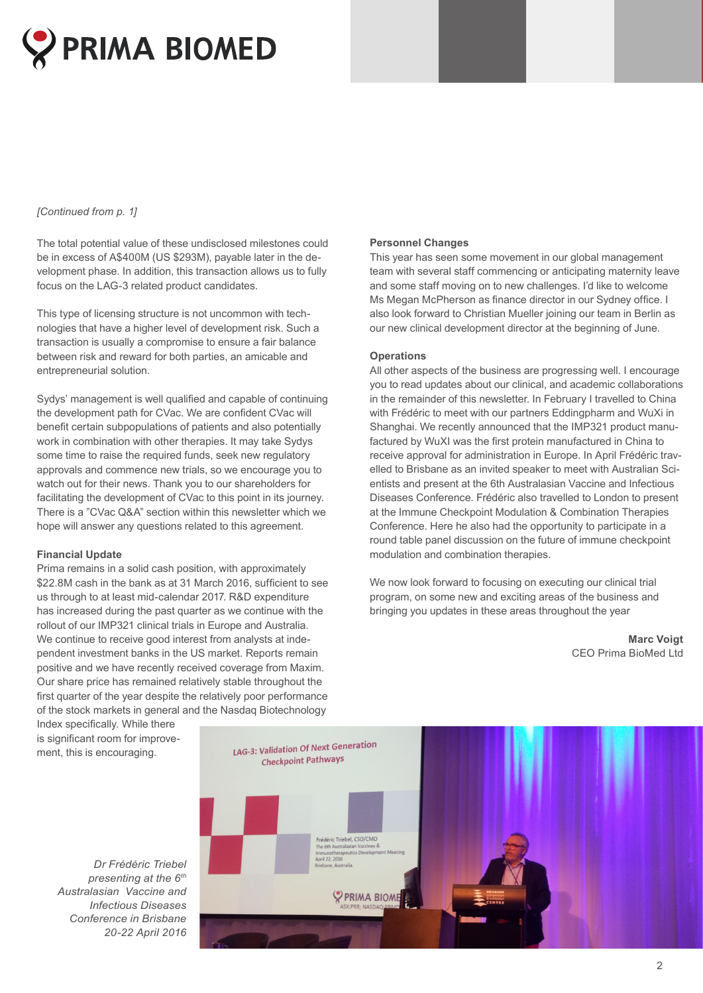

#### *[Continued from p. 1]*

The total potential value of these undisclosed milestones could be in excess of A\$400M (US \$293M), payable later in the development phase. In addition, this transaction allows us to fully focus on the LAG-3 related product candidates.

This type of licensing structure is not uncommon with technologies that have a higher level of development risk. Such a transaction is usually a compromise to ensure a fair balance between risk and reward for both parties, an amicable and entrepreneurial solution.

Sydys' management is well qualified and capable of continuing the development path for CVac. We are confident CVac will benefit certain subpopulations of patients and also potentially work in combination with other therapies. It may take Sydys some time to raise the required funds, seek new regulatory approvals and commence new trials, so we encourage you to watch out for their news. Thank you to our shareholders for facilitating the development of CVac to this point in its journey. There is a "CVac Q&A" section within this newsletter which we hope will answer any questions related to this agreement.

#### **Financial Update**

Prima remains in a solid cash position, with approximately \$22.8M cash in the bank as at 31 March 2016, sufficient to see us through to at least mid-calendar 2017. R&D expenditure has increased during the past quarter as we continue with the rollout of our IMP321 clinical trials in Europe and Australia. We continue to receive good interest from analysts at independent investment banks in the US market. Reports remain positive and we have recently received coverage from Maxim. Our share price has remained relatively stable throughout the first quarter of the year despite the relatively poor performance of the stock markets in general and the Nasdaq Biotechnology

#### **Personnel Changes**

This year has seen some movement in our global management team with several staff commencing or anticipating maternity leave and some staff moving on to new challenges. I'd like to welcome Ms Megan McPherson as finance director in our Sydney office. I also look forward to Christian Mueller joining our team in Berlin as our new clinical development director at the beginning of June.

#### **Operations**

All other aspects of the business are progressing well. I encourage you to read updates about our clinical, and academic collaborations in the remainder of this newsletter. In February I travelled to China with Frédéric to meet with our partners Eddingpharm and WuXi in Shanghai. We recently announced that the IMP321 product manufactured by WuXI was the first protein manufactured in China to receive approval for administration in Europe. In April Frédéric travelled to Brisbane as an invited speaker to meet with Australian Scientists and present at the 6th Australasian Vaccine and Infectious Diseases Conference. Frédéric also travelled to London to present at the Immune Checkpoint Modulation & Combination Therapies Conference. Here he also had the opportunity to participate in a round table panel discussion on the future of immune checkpoint modulation and combination therapies.

We now look forward to focusing on executing our clinical trial program, on some new and exciting areas of the business and bringing you updates in these areas throughout the year

> **Marc Voigt** CEO Prima BioMed Ltd

Index specifically. While there is significant room for improvement, this is encouraging.

LAG-3: Validation Of Next Generation **Checkpoint Pathways** édéric Triebel, CSO/CMO<br>e 6th Australasian Vaccines & PRIMA BIOME

*Dr Frédéric Triebel presenting at the 6th Australasian Vaccine and Infectious Diseases Conference in Brisbane 20-22 April 2016*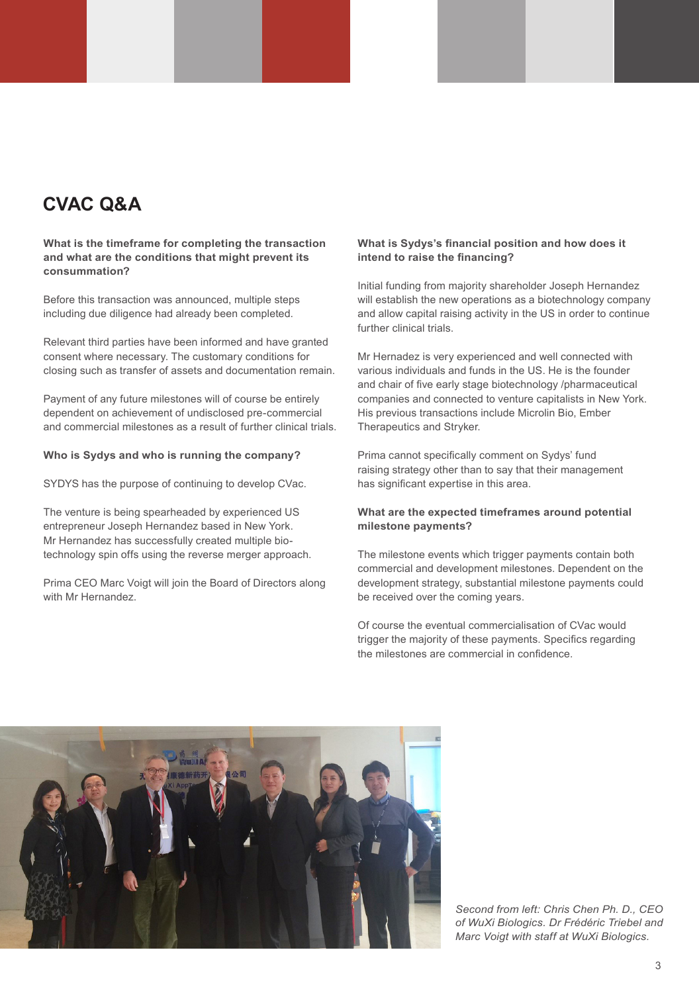## **CVAC Q&A**

#### **What is the timeframe for completing the transaction and what are the conditions that might prevent its consummation?**

Before this transaction was announced, multiple steps including due diligence had already been completed.

Relevant third parties have been informed and have granted consent where necessary. The customary conditions for closing such as transfer of assets and documentation remain.

Payment of any future milestones will of course be entirely dependent on achievement of undisclosed pre-commercial and commercial milestones as a result of further clinical trials.

#### **Who is Sydys and who is running the company?**

SYDYS has the purpose of continuing to develop CVac.

The venture is being spearheaded by experienced US entrepreneur Joseph Hernandez based in New York. Mr Hernandez has successfully created multiple biotechnology spin offs using the reverse merger approach.

Prima CEO Marc Voigt will join the Board of Directors along with Mr Hernandez.

#### **What is Sydys's financial position and how does it intend to raise the financing?**

Initial funding from majority shareholder Joseph Hernandez will establish the new operations as a biotechnology company and allow capital raising activity in the US in order to continue further clinical trials.

Mr Hernadez is very experienced and well connected with various individuals and funds in the US. He is the founder and chair of five early stage biotechnology /pharmaceutical companies and connected to venture capitalists in New York. His previous transactions include Microlin Bio, Ember Therapeutics and Stryker.

Prima cannot specifically comment on Sydys' fund raising strategy other than to say that their management has significant expertise in this area.

#### **What are the expected timeframes around potential milestone payments?**

The milestone events which trigger payments contain both commercial and development milestones. Dependent on the development strategy, substantial milestone payments could be received over the coming years.

Of course the eventual commercialisation of CVac would trigger the majority of these payments. Specifics regarding the milestones are commercial in confidence.



*Second from left: Chris Chen Ph. D., CEO of WuXi Biologics. Dr Frédéric Triebel and Marc Voigt with staff at WuXi Biologics.*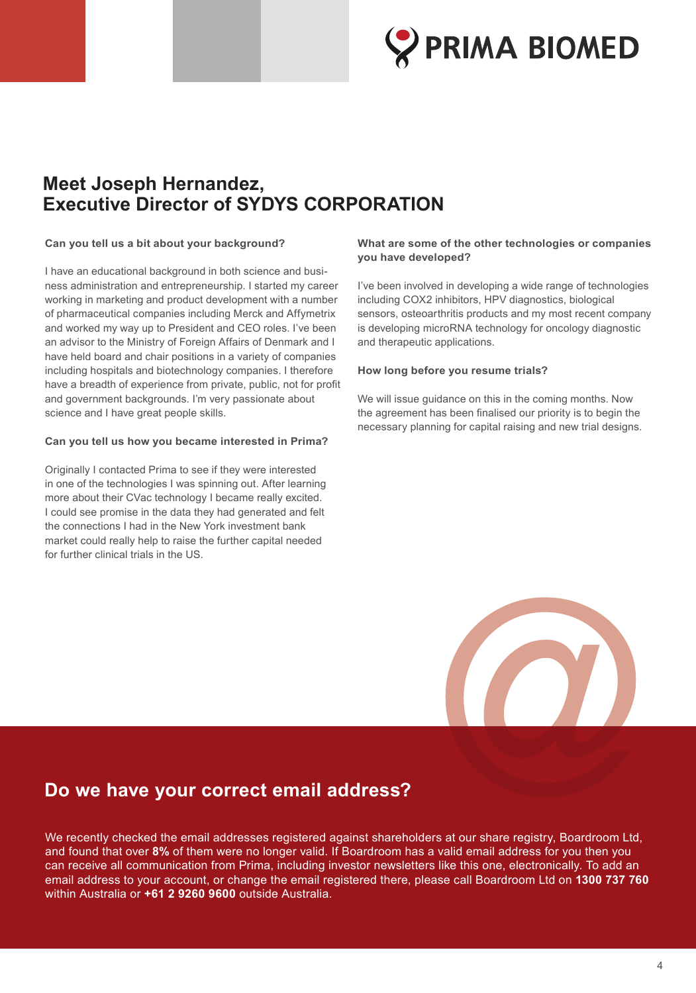

## **Meet Joseph Hernandez, Executive Director of SYDYS CORPORATION**

#### **Can you tell us a bit about your background?**

I have an educational background in both science and business administration and entrepreneurship. I started my career working in marketing and product development with a number of pharmaceutical companies including Merck and Affymetrix and worked my way up to President and CEO roles. I've been an advisor to the Ministry of Foreign Affairs of Denmark and I have held board and chair positions in a variety of companies including hospitals and biotechnology companies. I therefore have a breadth of experience from private, public, not for profit and government backgrounds. I'm very passionate about science and I have great people skills.

#### **Can you tell us how you became interested in Prima?**

Originally I contacted Prima to see if they were interested in one of the technologies I was spinning out. After learning more about their CVac technology I became really excited. I could see promise in the data they had generated and felt the connections I had in the New York investment bank market could really help to raise the further capital needed for further clinical trials in the US.

#### **What are some of the other technologies or companies you have developed?**

I've been involved in developing a wide range of technologies including COX2 inhibitors, HPV diagnostics, biological sensors, osteoarthritis products and my most recent company is developing microRNA technology for oncology diagnostic and therapeutic applications.

#### **How long before you resume trials?**

We will issue guidance on this in the coming months. Now the agreement has been finalised our priority is to begin the necessary planning for capital raising and new trial designs.



## **Do we have your correct email address?**

We recently checked the email addresses registered against shareholders at our share registry, Boardroom Ltd, and found that over **8%** of them were no longer valid. If Boardroom has a valid email address for you then you can receive all communication from Prima, including investor newsletters like this one, electronically. To add an email address to your account, or change the email registered there, please call Boardroom Ltd on **1300 737 760** within Australia or **+61 2 9260 9600** outside Australia.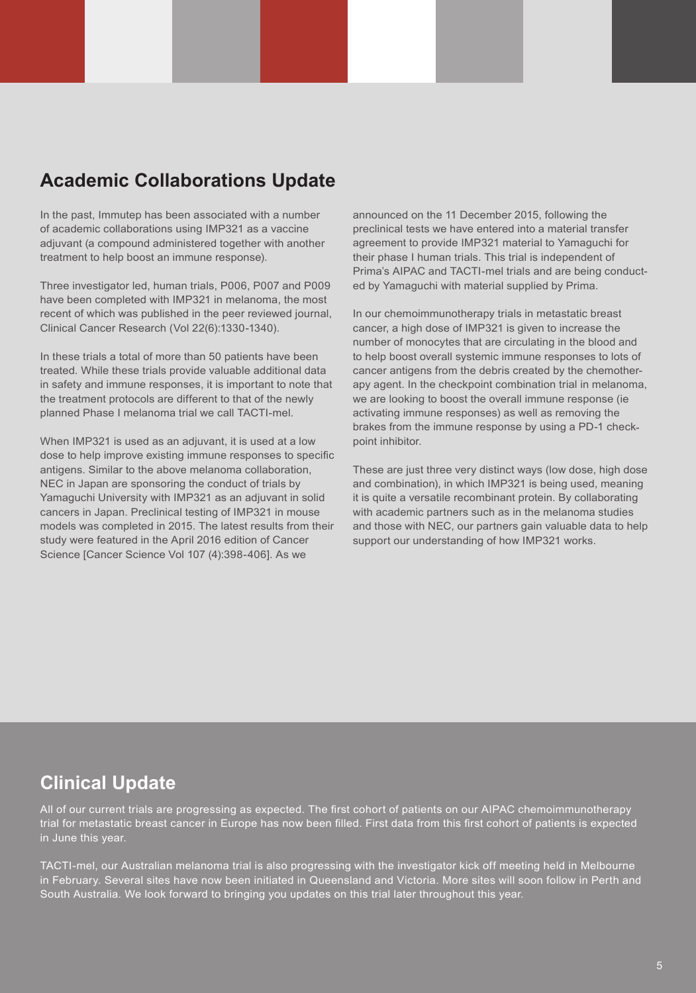## **Academic Collaborations Update**

In the past, Immutep has been associated with a number of academic collaborations using IMP321 as a vaccine adjuvant (a compound administered together with another treatment to help boost an immune response).

Three investigator led, human trials, P006, P007 and P009 have been completed with IMP321 in melanoma, the most recent of which was published in the peer reviewed journal, Clinical Cancer Research (Vol 22(6):1330-1340).

In these trials a total of more than 50 patients have been treated. While these trials provide valuable additional data in safety and immune responses, it is important to note that the treatment protocols are different to that of the newly planned Phase I melanoma trial we call TACTI-mel.

When IMP321 is used as an adjuvant, it is used at a low dose to help improve existing immune responses to specific antigens. Similar to the above melanoma collaboration, NEC in Japan are sponsoring the conduct of trials by Yamaguchi University with IMP321 as an adjuvant in solid cancers in Japan. Preclinical testing of IMP321 in mouse models was completed in 2015. The latest results from their study were featured in the April 2016 edition of Cancer Science [Cancer Science Vol 107 (4):398-406]. As we

announced on the 11 December 2015, following the preclinical tests we have entered into a material transfer agreement to provide IMP321 material to Yamaguchi for their phase I human trials. This trial is independent of Prima's AIPAC and TACTI-mel trials and are being conducted by Yamaguchi with material supplied by Prima.

In our chemoimmunotherapy trials in metastatic breast cancer, a high dose of IMP321 is given to increase the number of monocytes that are circulating in the blood and to help boost overall systemic immune responses to lots of cancer antigens from the debris created by the chemotherapy agent. In the checkpoint combination trial in melanoma, we are looking to boost the overall immune response (ie activating immune responses) as well as removing the brakes from the immune response by using a PD-1 checkpoint inhibitor.

These are just three very distinct ways (low dose, high dose and combination), in which IMP321 is being used, meaning it is quite a versatile recombinant protein. By collaborating with academic partners such as in the melanoma studies and those with NEC, our partners gain valuable data to help support our understanding of how IMP321 works.

## **Clinical Update**

All of our current trials are progressing as expected. The first cohort of patients on our AIPAC chemoimmunotherapy trial for metastatic breast cancer in Europe has now been filled. First data from this first cohort of patients is expected in June this year.

TACTI-mel, our Australian melanoma trial is also progressing with the investigator kick off meeting held in Melbourne in February. Several sites have now been initiated in Queensland and Victoria. More sites will soon follow in Perth and South Australia. We look forward to bringing you updates on this trial later throughout this year.